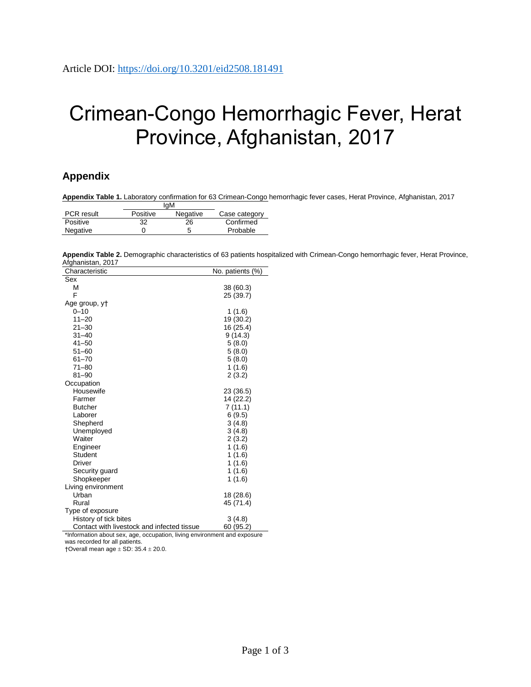## Crimean-Congo Hemorrhagic Fever, Herat Province, Afghanistan, 2017

## **Appendix**

**Appendix Table 1.** Laboratory confirmation for 63 Crimean-Congo hemorrhagic fever cases, Herat Province, Afghanistan, 2017 IgM

|                   | ıyıvı    |          |               |
|-------------------|----------|----------|---------------|
| <b>PCR</b> result | Positive | Negative | Case category |
| Positive          | 32       | 26       | Confirmed     |
| Negative          |          |          | Probable      |

**Appendix Table 2.** Demographic characteristics of 63 patients hospitalized with Crimean-Congo hemorrhagic fever, Herat Province, Afghanistan, 2017

| Characteristic                             | No. patients (%) |
|--------------------------------------------|------------------|
| Sex                                        |                  |
| М                                          | 38 (60.3)        |
| F                                          | 25 (39.7)        |
| Age group, yt                              |                  |
| $0 - 10$                                   | 1(1.6)           |
| $11 - 20$                                  | 19 (30.2)        |
| $21 - 30$                                  | 16 (25.4)        |
| $31 - 40$                                  | 9(14.3)          |
| $41 - 50$                                  | 5(8.0)           |
| $51 - 60$                                  | 5(8.0)           |
| $61 - 70$                                  | 5(8.0)           |
| $71 - 80$                                  | 1(1.6)           |
| $81 - 90$                                  | 2(3.2)           |
| Occupation                                 |                  |
| Housewife                                  | 23 (36.5)        |
| Farmer                                     | 14 (22.2)        |
| <b>Butcher</b>                             | 7(11.1)          |
| Laborer                                    | 6(9.5)           |
| Shepherd                                   | 3(4.8)           |
| Unemployed                                 | 3(4.8)           |
| Waiter                                     | 2(3.2)           |
| Engineer                                   | 1(1.6)           |
| Student                                    | 1(1.6)           |
| Driver                                     | 1(1.6)           |
| Security guard                             | 1(1.6)           |
| Shopkeeper                                 | 1(1.6)           |
| Living environment                         |                  |
| Urban                                      | 18 (28.6)        |
| Rural                                      | 45 (71.4)        |
| Type of exposure                           |                  |
| History of tick bites                      | 3(4.8)           |
| Contact with livestock and infected tissue | 60 (95.2)        |

\*Information about sex, age, occupation, living environment and exposure was recorded for all patients.

 $\dagger$ Overall mean age  $\pm$  SD: 35.4  $\pm$  20.0.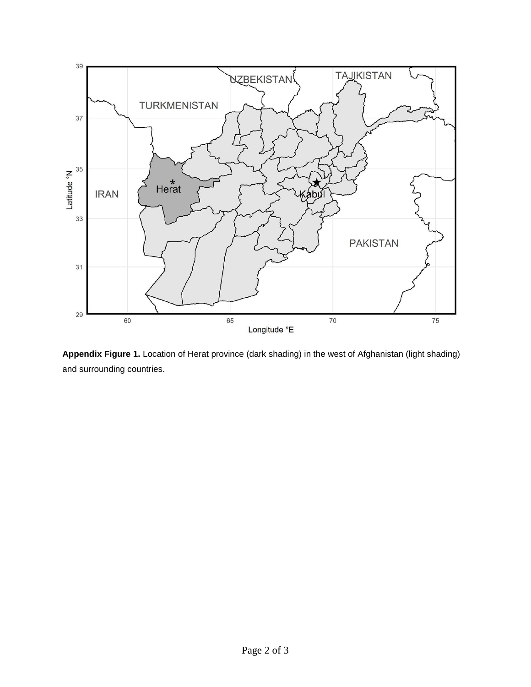

**Appendix Figure 1.** Location of Herat province (dark shading) in the west of Afghanistan (light shading) and surrounding countries.